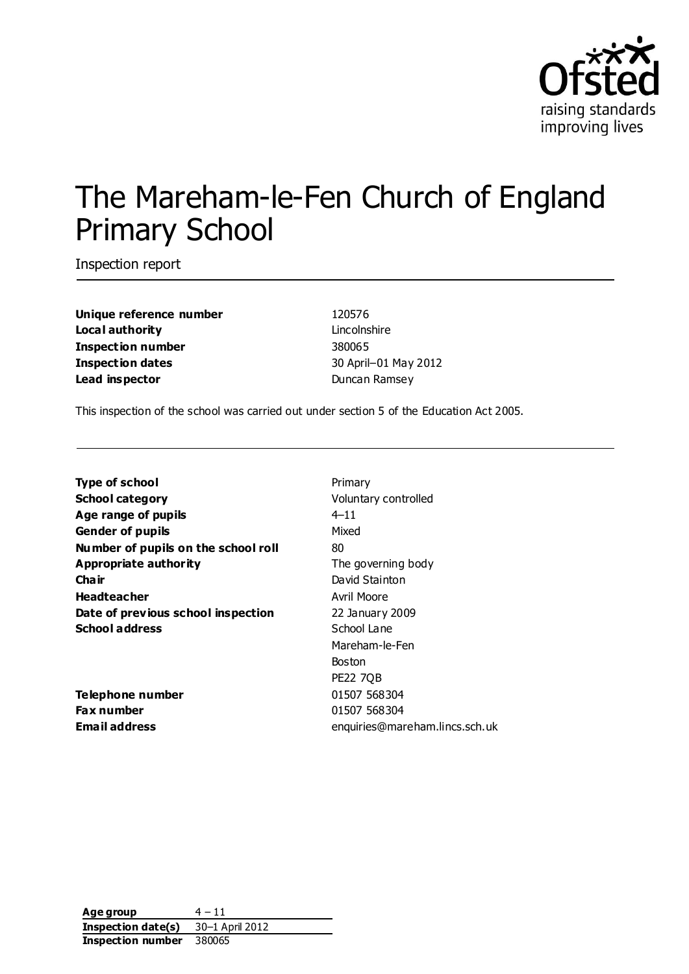

# The Mareham-le-Fen Church of England Primary School

Inspection report

**Unique reference number** 120576 **Local authority Lincolnshire Inspection number** 380065 **Inspection dates** 30 April–01 May 2012 **Lead inspector Contract Contract Contract Contract Duncan Ramsey** 

This inspection of the school was carried out under section 5 of the Education Act 2005.

| <b>Type of school</b>               | Primary                        |
|-------------------------------------|--------------------------------|
| <b>School category</b>              | Voluntary controlled           |
| Age range of pupils                 | $4 - 11$                       |
| <b>Gender of pupils</b>             | Mixed                          |
| Number of pupils on the school roll | 80                             |
| <b>Appropriate authority</b>        | The governing body             |
| Cha ir                              | David Stainton                 |
| <b>Headteacher</b>                  | Avril Moore                    |
| Date of previous school inspection  | 22 January 2009                |
| <b>School address</b>               | School Lane                    |
|                                     | Mareham-le-Fen                 |
|                                     | <b>Boston</b>                  |
|                                     | <b>PE22 7QB</b>                |
| Telephone number                    | 01507 568304                   |
| <b>Fax number</b>                   | 01507 568304                   |
| Email address                       | enquiries@mareham.lincs.sch.uk |

**Age group**  $4 - 11$ **Inspection date(s)** 30–1 April 2012 **Inspection number** 380065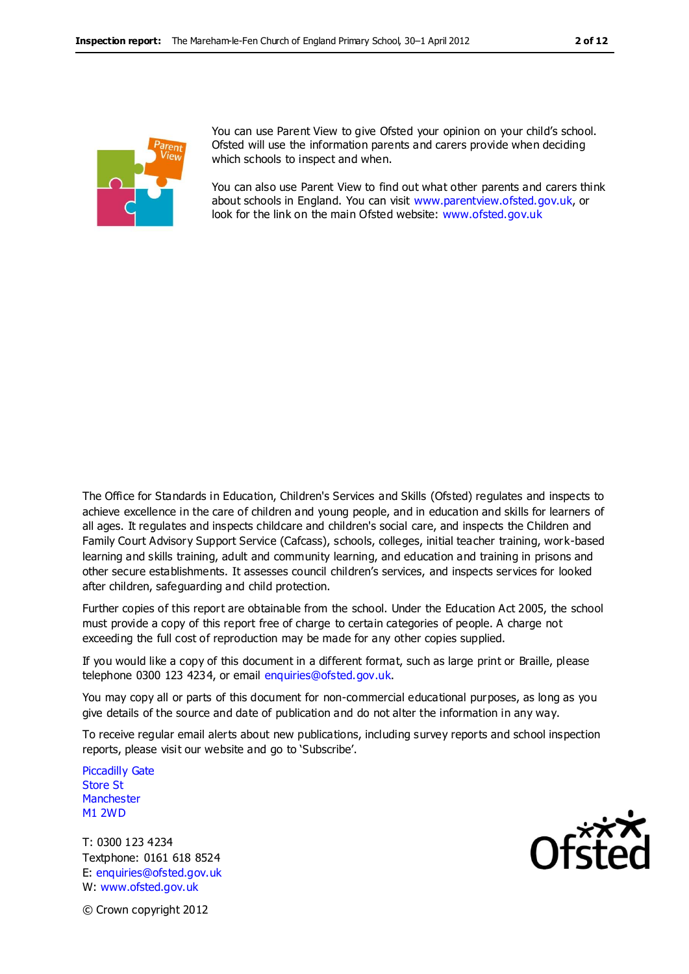

You can use Parent View to give Ofsted your opinion on your child's school. Ofsted will use the information parents and carers provide when deciding which schools to inspect and when.

You can also use Parent View to find out what other parents and carers think about schools in England. You can visit [www.parentview.ofsted.gov.uk,](http://www.parentview.ofsted.gov.uk/) or look for the link on the main Ofsted website: [www.ofsted.gov.uk](http://www.ofsted.gov.uk/)

The Office for Standards in Education, Children's Services and Skills (Ofsted) regulates and inspects to achieve excellence in the care of children and young people, and in education and skills for learners of all ages. It regulates and inspects childcare and children's social care, and inspects the Children and Family Court Advisory Support Service (Cafcass), schools, colleges, initial teacher training, work-based learning and skills training, adult and community learning, and education and training in prisons and other secure establishments. It assesses council children's services, and inspects services for looked after children, safeguarding and child protection.

Further copies of this report are obtainable from the school. Under the Education Act 2005, the school must provide a copy of this report free of charge to certain categories of people. A charge not exceeding the full cost of reproduction may be made for any other copies supplied.

If you would like a copy of this document in a different format, such as large print or Braille, please telephone 0300 123 4234, or email enquiries@ofsted.gov.uk.

You may copy all or parts of this document for non-commercial educational purposes, as long as you give details of the source and date of publication and do not alter the information in any way.

To receive regular email alerts about new publications, including survey reports and school inspection reports, please visit our website and go to 'Subscribe'.

Piccadilly Gate Store St **Manchester** M1 2WD

T: 0300 123 4234 Textphone: 0161 618 8524 E: enquiries@ofsted.gov.uk W: www.ofsted.gov.uk



© Crown copyright 2012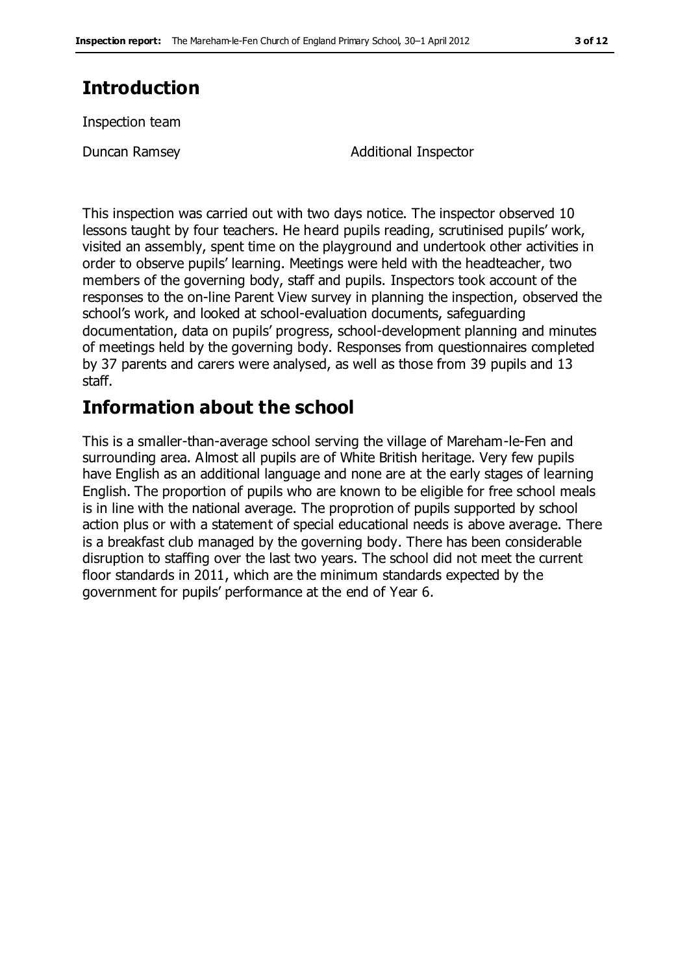# **Introduction**

Inspection team

Duncan Ramsey **Additional Inspector** 

This inspection was carried out with two days notice. The inspector observed 10 lessons taught by four teachers. He heard pupils reading, scrutinised pupils' work, visited an assembly, spent time on the playground and undertook other activities in order to observe pupils' learning. Meetings were held with the headteacher, two members of the governing body, staff and pupils. Inspectors took account of the responses to the on-line Parent View survey in planning the inspection, observed the school's work, and looked at school-evaluation documents, safeguarding documentation, data on pupils' progress, school-development planning and minutes of meetings held by the governing body. Responses from questionnaires completed by 37 parents and carers were analysed, as well as those from 39 pupils and 13 staff.

# **Information about the school**

This is a smaller-than-average school serving the village of Mareham-le-Fen and surrounding area. Almost all pupils are of White British heritage. Very few pupils have English as an additional language and none are at the early stages of learning English. The proportion of pupils who are known to be eligible for free school meals is in line with the national average. The proprotion of pupils supported by school action plus or with a statement of special educational needs is above average. There is a breakfast club managed by the governing body. There has been considerable disruption to staffing over the last two years. The school did not meet the current floor standards in 2011, which are the minimum standards expected by the government for pupils' performance at the end of Year 6.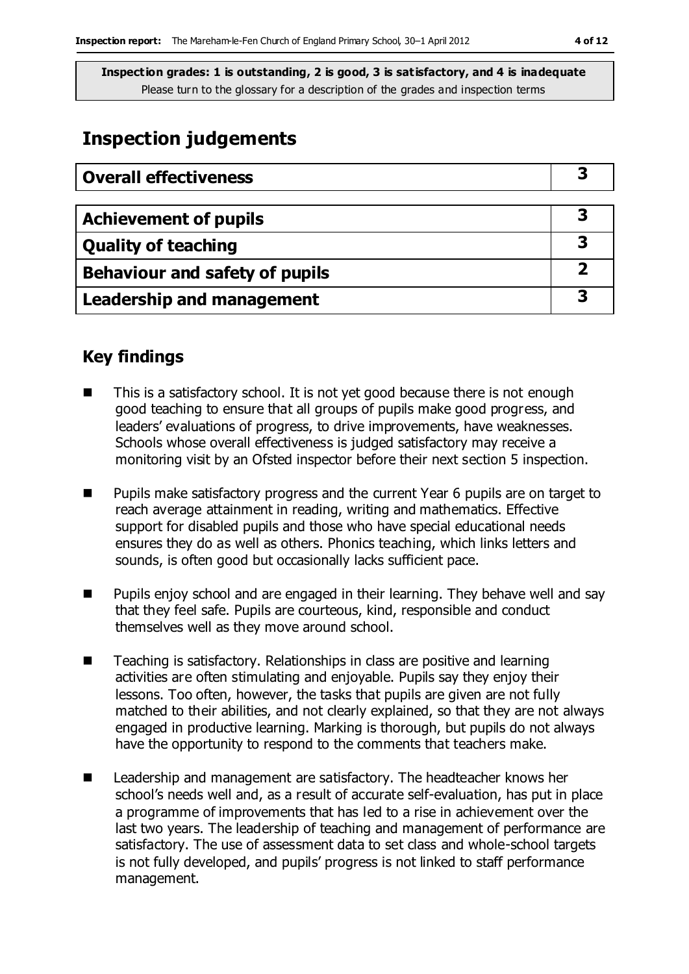# **Inspection judgements**

| <b>Overall effectiveness</b>     |  |
|----------------------------------|--|
|                                  |  |
| <b>Achievement of pupils</b>     |  |
| <b>Quality of teaching</b>       |  |
| Behaviour and safety of pupils   |  |
| <b>Leadership and management</b> |  |

## **Key findings**

- This is a satisfactory school. It is not yet good because there is not enough good teaching to ensure that all groups of pupils make good progress, and leaders' evaluations of progress, to drive improvements, have weaknesses. Schools whose overall effectiveness is judged satisfactory may receive a monitoring visit by an Ofsted inspector before their next section 5 inspection.
- **Pupils make satisfactory progress and the current Year 6 pupils are on target to** reach average attainment in reading, writing and mathematics. Effective support for disabled pupils and those who have special educational needs ensures they do as well as others. Phonics teaching, which links letters and sounds, is often good but occasionally lacks sufficient pace.
- Pupils enjoy school and are engaged in their learning. They behave well and say that they feel safe. Pupils are courteous, kind, responsible and conduct themselves well as they move around school.
- Teaching is satisfactory. Relationships in class are positive and learning activities are often stimulating and enjoyable. Pupils say they enjoy their lessons. Too often, however, the tasks that pupils are given are not fully matched to their abilities, and not clearly explained, so that they are not always engaged in productive learning. Marking is thorough, but pupils do not always have the opportunity to respond to the comments that teachers make.
- Leadership and management are satisfactory. The headteacher knows her school's needs well and, as a result of accurate self-evaluation, has put in place a programme of improvements that has led to a rise in achievement over the last two years. The leadership of teaching and management of performance are satisfactory. The use of assessment data to set class and whole-school targets is not fully developed, and pupils' progress is not linked to staff performance management.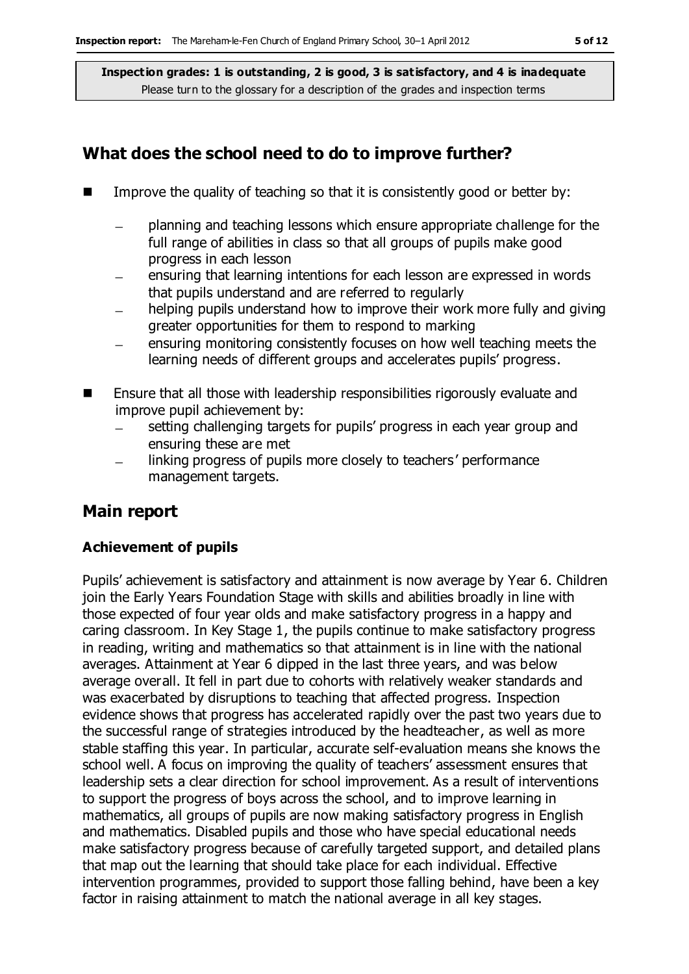### **What does the school need to do to improve further?**

- Improve the quality of teaching so that it is consistently good or better by:
	- planning and teaching lessons which ensure appropriate challenge for the full range of abilities in class so that all groups of pupils make good progress in each lesson
	- ensuring that learning intentions for each lesson are expressed in words that pupils understand and are referred to regularly
	- helping pupils understand how to improve their work more fully and giving greater opportunities for them to respond to marking
	- ensuring monitoring consistently focuses on how well teaching meets the learning needs of different groups and accelerates pupils' progress.
- Ensure that all those with leadership responsibilities rigorously evaluate and improve pupil achievement by:
	- setting challenging targets for pupils' progress in each year group and ensuring these are met
	- linking progress of pupils more closely to teachers' performance management targets.

## **Main report**

### **Achievement of pupils**

Pupils' achievement is satisfactory and attainment is now average by Year 6. Children join the Early Years Foundation Stage with skills and abilities broadly in line with those expected of four year olds and make satisfactory progress in a happy and caring classroom. In Key Stage 1, the pupils continue to make satisfactory progress in reading, writing and mathematics so that attainment is in line with the national averages. Attainment at Year 6 dipped in the last three years, and was below average overall. It fell in part due to cohorts with relatively weaker standards and was exacerbated by disruptions to teaching that affected progress. Inspection evidence shows that progress has accelerated rapidly over the past two years due to the successful range of strategies introduced by the headteacher, as well as more stable staffing this year. In particular, accurate self-evaluation means she knows the school well. A focus on improving the quality of teachers' assessment ensures that leadership sets a clear direction for school improvement. As a result of interventions to support the progress of boys across the school, and to improve learning in mathematics, all groups of pupils are now making satisfactory progress in English and mathematics. Disabled pupils and those who have special educational needs make satisfactory progress because of carefully targeted support, and detailed plans that map out the learning that should take place for each individual. Effective intervention programmes, provided to support those falling behind, have been a key factor in raising attainment to match the national average in all key stages.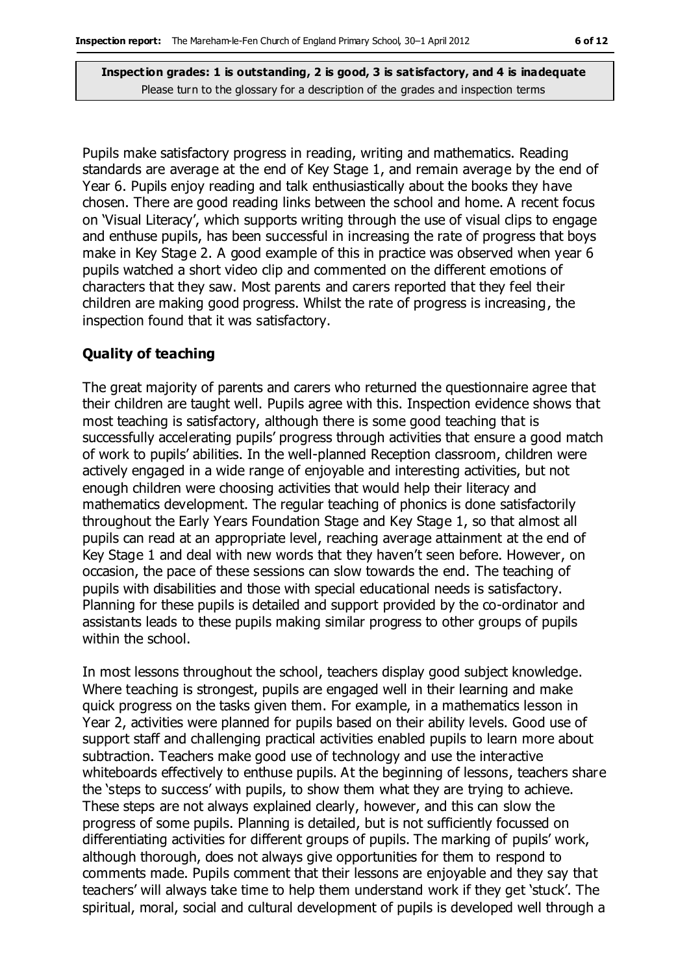Pupils make satisfactory progress in reading, writing and mathematics. Reading standards are average at the end of Key Stage 1, and remain average by the end of Year 6. Pupils enjoy reading and talk enthusiastically about the books they have chosen. There are good reading links between the school and home. A recent focus on 'Visual Literacy', which supports writing through the use of visual clips to engage and enthuse pupils, has been successful in increasing the rate of progress that boys make in Key Stage 2. A good example of this in practice was observed when year 6 pupils watched a short video clip and commented on the different emotions of characters that they saw. Most parents and carers reported that they feel their children are making good progress. Whilst the rate of progress is increasing, the inspection found that it was satisfactory.

#### **Quality of teaching**

The great majority of parents and carers who returned the questionnaire agree that their children are taught well. Pupils agree with this. Inspection evidence shows that most teaching is satisfactory, although there is some good teaching that is successfully accelerating pupils' progress through activities that ensure a good match of work to pupils' abilities. In the well-planned Reception classroom, children were actively engaged in a wide range of enjoyable and interesting activities, but not enough children were choosing activities that would help their literacy and mathematics development. The regular teaching of phonics is done satisfactorily throughout the Early Years Foundation Stage and Key Stage 1, so that almost all pupils can read at an appropriate level, reaching average attainment at the end of Key Stage 1 and deal with new words that they haven't seen before. However, on occasion, the pace of these sessions can slow towards the end. The teaching of pupils with disabilities and those with special educational needs is satisfactory. Planning for these pupils is detailed and support provided by the co-ordinator and assistants leads to these pupils making similar progress to other groups of pupils within the school.

In most lessons throughout the school, teachers display good subject knowledge. Where teaching is strongest, pupils are engaged well in their learning and make quick progress on the tasks given them. For example, in a mathematics lesson in Year 2, activities were planned for pupils based on their ability levels. Good use of support staff and challenging practical activities enabled pupils to learn more about subtraction. Teachers make good use of technology and use the interactive whiteboards effectively to enthuse pupils. At the beginning of lessons, teachers share the 'steps to success' with pupils, to show them what they are trying to achieve. These steps are not always explained clearly, however, and this can slow the progress of some pupils. Planning is detailed, but is not sufficiently focussed on differentiating activities for different groups of pupils. The marking of pupils' work, although thorough, does not always give opportunities for them to respond to comments made. Pupils comment that their lessons are enjoyable and they say that teachers' will always take time to help them understand work if they get 'stuck'. The spiritual, moral, social and cultural development of pupils is developed well through a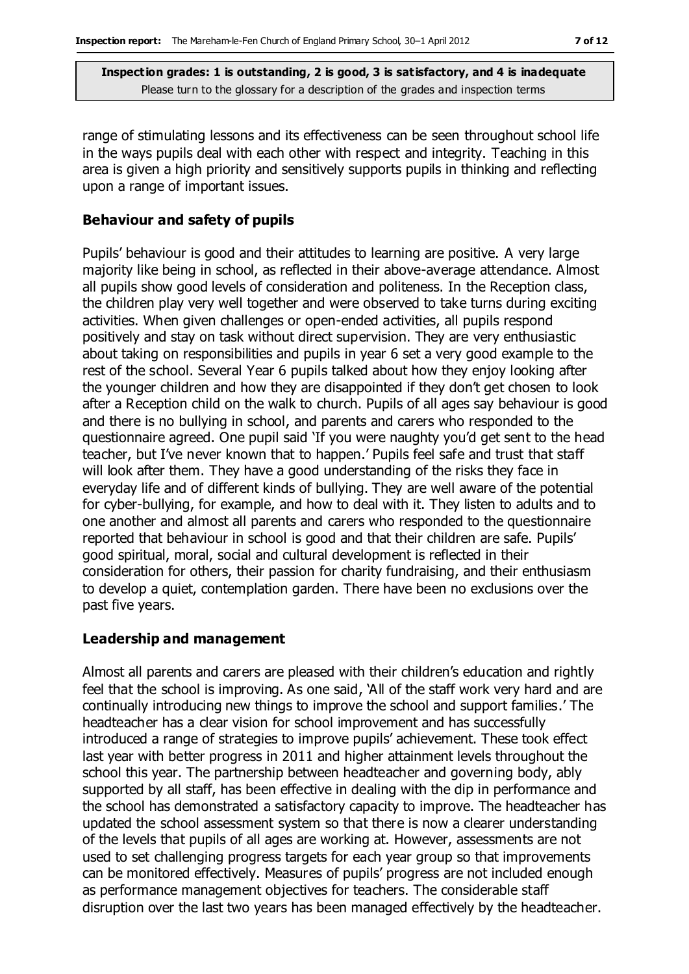range of stimulating lessons and its effectiveness can be seen throughout school life in the ways pupils deal with each other with respect and integrity. Teaching in this area is given a high priority and sensitively supports pupils in thinking and reflecting upon a range of important issues.

#### **Behaviour and safety of pupils**

Pupils' behaviour is good and their attitudes to learning are positive. A very large majority like being in school, as reflected in their above-average attendance. Almost all pupils show good levels of consideration and politeness. In the Reception class, the children play very well together and were observed to take turns during exciting activities. When given challenges or open-ended activities, all pupils respond positively and stay on task without direct supervision. They are very enthusiastic about taking on responsibilities and pupils in year 6 set a very good example to the rest of the school. Several Year 6 pupils talked about how they enjoy looking after the younger children and how they are disappointed if they don't get chosen to look after a Reception child on the walk to church. Pupils of all ages say behaviour is good and there is no bullying in school, and parents and carers who responded to the questionnaire agreed. One pupil said 'If you were naughty you'd get sent to the head teacher, but I've never known that to happen.' Pupils feel safe and trust that staff will look after them. They have a good understanding of the risks they face in everyday life and of different kinds of bullying. They are well aware of the potential for cyber-bullying, for example, and how to deal with it. They listen to adults and to one another and almost all parents and carers who responded to the questionnaire reported that behaviour in school is good and that their children are safe. Pupils' good spiritual, moral, social and cultural development is reflected in their consideration for others, their passion for charity fundraising, and their enthusiasm to develop a quiet, contemplation garden. There have been no exclusions over the past five years.

#### **Leadership and management**

Almost all parents and carers are pleased with their children's education and rightly feel that the school is improving. As one said, 'All of the staff work very hard and are continually introducing new things to improve the school and support families.' The headteacher has a clear vision for school improvement and has successfully introduced a range of strategies to improve pupils' achievement. These took effect last year with better progress in 2011 and higher attainment levels throughout the school this year. The partnership between headteacher and governing body, ably supported by all staff, has been effective in dealing with the dip in performance and the school has demonstrated a satisfactory capacity to improve. The headteacher has updated the school assessment system so that there is now a clearer understanding of the levels that pupils of all ages are working at. However, assessments are not used to set challenging progress targets for each year group so that improvements can be monitored effectively. Measures of pupils' progress are not included enough as performance management objectives for teachers. The considerable staff disruption over the last two years has been managed effectively by the headteacher.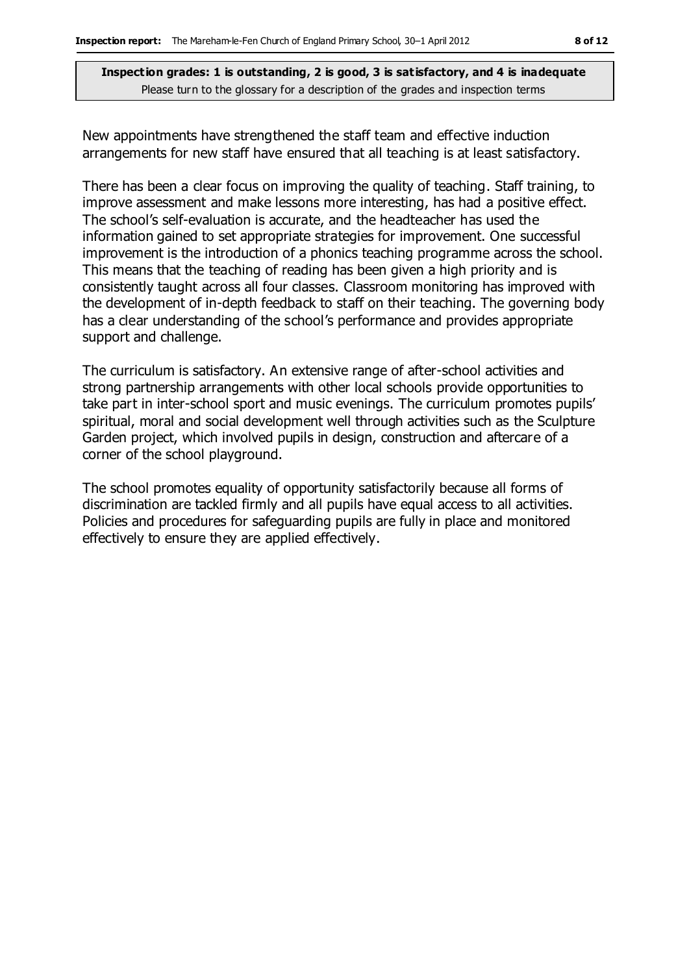New appointments have strengthened the staff team and effective induction arrangements for new staff have ensured that all teaching is at least satisfactory.

There has been a clear focus on improving the quality of teaching. Staff training, to improve assessment and make lessons more interesting, has had a positive effect. The school's self-evaluation is accurate, and the headteacher has used the information gained to set appropriate strategies for improvement. One successful improvement is the introduction of a phonics teaching programme across the school. This means that the teaching of reading has been given a high priority and is consistently taught across all four classes. Classroom monitoring has improved with the development of in-depth feedback to staff on their teaching. The governing body has a clear understanding of the school's performance and provides appropriate support and challenge.

The curriculum is satisfactory. An extensive range of after-school activities and strong partnership arrangements with other local schools provide opportunities to take part in inter-school sport and music evenings. The curriculum promotes pupils' spiritual, moral and social development well through activities such as the Sculpture Garden project, which involved pupils in design, construction and aftercare of a corner of the school playground.

The school promotes equality of opportunity satisfactorily because all forms of discrimination are tackled firmly and all pupils have equal access to all activities. Policies and procedures for safeguarding pupils are fully in place and monitored effectively to ensure they are applied effectively.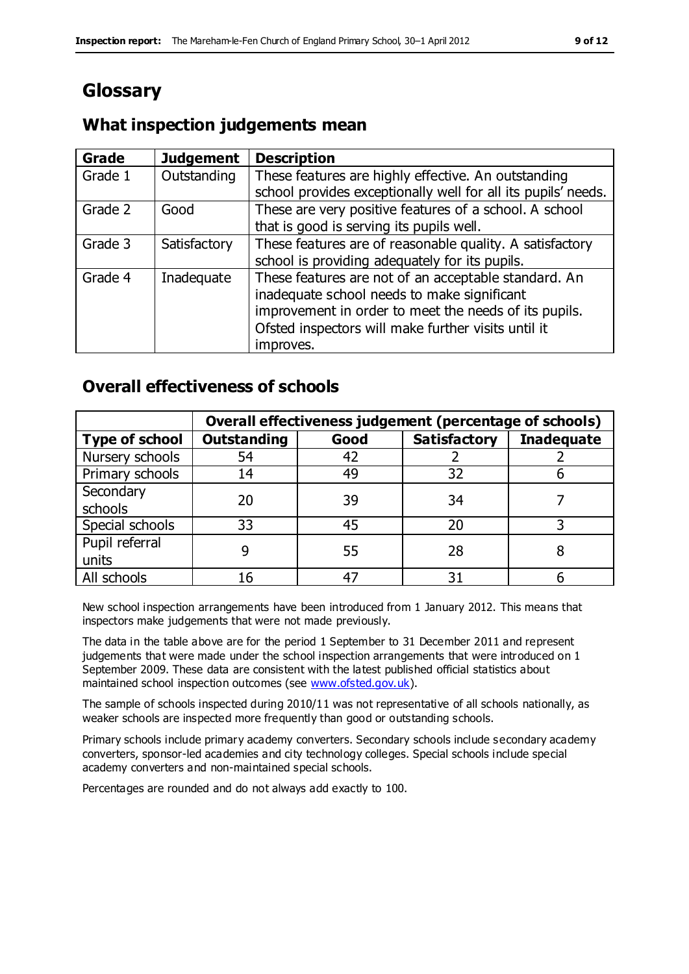# **Glossary**

## **What inspection judgements mean**

| Grade   | <b>Judgement</b> | <b>Description</b>                                            |
|---------|------------------|---------------------------------------------------------------|
| Grade 1 | Outstanding      | These features are highly effective. An outstanding           |
|         |                  | school provides exceptionally well for all its pupils' needs. |
| Grade 2 | Good             | These are very positive features of a school. A school        |
|         |                  | that is good is serving its pupils well.                      |
| Grade 3 | Satisfactory     | These features are of reasonable quality. A satisfactory      |
|         |                  | school is providing adequately for its pupils.                |
| Grade 4 | Inadequate       | These features are not of an acceptable standard. An          |
|         |                  | inadequate school needs to make significant                   |
|         |                  | improvement in order to meet the needs of its pupils.         |
|         |                  | Ofsted inspectors will make further visits until it           |
|         |                  | improves.                                                     |

### **Overall effectiveness of schools**

|                       | Overall effectiveness judgement (percentage of schools) |      |                     |                   |
|-----------------------|---------------------------------------------------------|------|---------------------|-------------------|
| <b>Type of school</b> | <b>Outstanding</b>                                      | Good | <b>Satisfactory</b> | <b>Inadequate</b> |
| Nursery schools       | 54                                                      | 42   |                     |                   |
| Primary schools       | 14                                                      | 49   | 32                  |                   |
| Secondary             | 20                                                      | 39   | 34                  |                   |
| schools               |                                                         |      |                     |                   |
| Special schools       | 33                                                      | 45   | 20                  |                   |
| Pupil referral        |                                                         | 55   | 28                  |                   |
| units                 |                                                         |      |                     |                   |
| All schools           | 16                                                      | 47   | 31                  |                   |

New school inspection arrangements have been introduced from 1 January 2012. This means that inspectors make judgements that were not made previously.

The data in the table above are for the period 1 September to 31 December 2011 and represent judgements that were made under the school inspection arrangements that were introduced on 1 September 2009. These data are consistent with the latest published official statistics about maintained school inspection outcomes (see [www.ofsted.gov.uk\)](http://www.ofsted.gov.uk/).

The sample of schools inspected during 2010/11 was not representative of all schools nationally, as weaker schools are inspected more frequently than good or outstanding schools.

Primary schools include primary academy converters. Secondary schools include secondary academy converters, sponsor-led academies and city technology colleges. Special schools include special academy converters and non-maintained special schools.

Percentages are rounded and do not always add exactly to 100.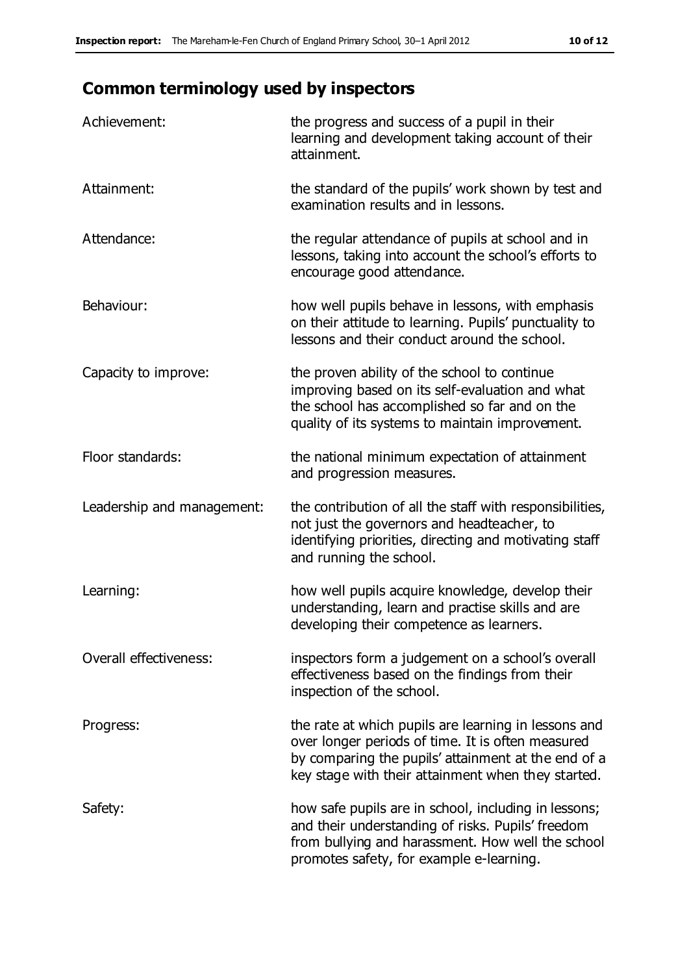# **Common terminology used by inspectors**

| Achievement:               | the progress and success of a pupil in their<br>learning and development taking account of their<br>attainment.                                                                                                        |
|----------------------------|------------------------------------------------------------------------------------------------------------------------------------------------------------------------------------------------------------------------|
| Attainment:                | the standard of the pupils' work shown by test and<br>examination results and in lessons.                                                                                                                              |
| Attendance:                | the regular attendance of pupils at school and in<br>lessons, taking into account the school's efforts to<br>encourage good attendance.                                                                                |
| Behaviour:                 | how well pupils behave in lessons, with emphasis<br>on their attitude to learning. Pupils' punctuality to<br>lessons and their conduct around the school.                                                              |
| Capacity to improve:       | the proven ability of the school to continue<br>improving based on its self-evaluation and what<br>the school has accomplished so far and on the<br>quality of its systems to maintain improvement.                    |
| Floor standards:           | the national minimum expectation of attainment<br>and progression measures.                                                                                                                                            |
| Leadership and management: | the contribution of all the staff with responsibilities,<br>not just the governors and headteacher, to<br>identifying priorities, directing and motivating staff<br>and running the school.                            |
| Learning:                  | how well pupils acquire knowledge, develop their<br>understanding, learn and practise skills and are<br>developing their competence as learners.                                                                       |
| Overall effectiveness:     | inspectors form a judgement on a school's overall<br>effectiveness based on the findings from their<br>inspection of the school.                                                                                       |
| Progress:                  | the rate at which pupils are learning in lessons and<br>over longer periods of time. It is often measured<br>by comparing the pupils' attainment at the end of a<br>key stage with their attainment when they started. |
| Safety:                    | how safe pupils are in school, including in lessons;<br>and their understanding of risks. Pupils' freedom<br>from bullying and harassment. How well the school<br>promotes safety, for example e-learning.             |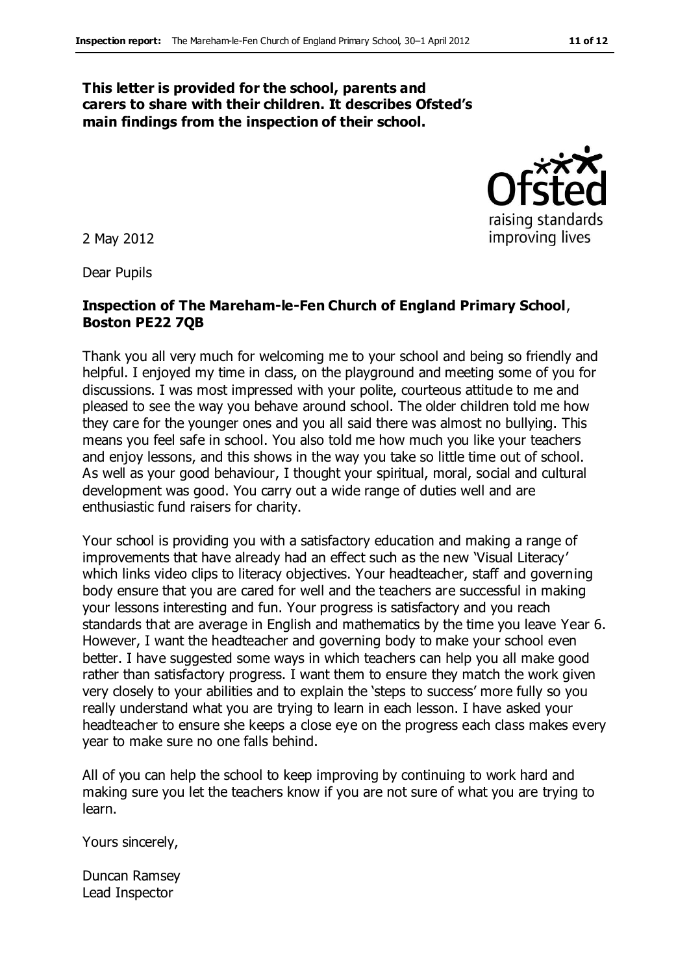#### **This letter is provided for the school, parents and carers to share with their children. It describes Ofsted's main findings from the inspection of their school.**

2 May 2012

Dear Pupils

#### **Inspection of The Mareham-le-Fen Church of England Primary School**, **Boston PE22 7QB**

Thank you all very much for welcoming me to your school and being so friendly and helpful. I enjoyed my time in class, on the playground and meeting some of you for discussions. I was most impressed with your polite, courteous attitude to me and pleased to see the way you behave around school. The older children told me how they care for the younger ones and you all said there was almost no bullying. This means you feel safe in school. You also told me how much you like your teachers and enjoy lessons, and this shows in the way you take so little time out of school. As well as your good behaviour, I thought your spiritual, moral, social and cultural development was good. You carry out a wide range of duties well and are enthusiastic fund raisers for charity.

Your school is providing you with a satisfactory education and making a range of improvements that have already had an effect such as the new 'Visual Literacy' which links video clips to literacy objectives. Your headteacher, staff and governing body ensure that you are cared for well and the teachers are successful in making your lessons interesting and fun. Your progress is satisfactory and you reach standards that are average in English and mathematics by the time you leave Year 6. However, I want the headteacher and governing body to make your school even better. I have suggested some ways in which teachers can help you all make good rather than satisfactory progress. I want them to ensure they match the work given very closely to your abilities and to explain the 'steps to success' more fully so you really understand what you are trying to learn in each lesson. I have asked your headteacher to ensure she keeps a close eye on the progress each class makes every year to make sure no one falls behind.

All of you can help the school to keep improving by continuing to work hard and making sure you let the teachers know if you are not sure of what you are trying to learn.

Yours sincerely,

Duncan Ramsey Lead Inspector